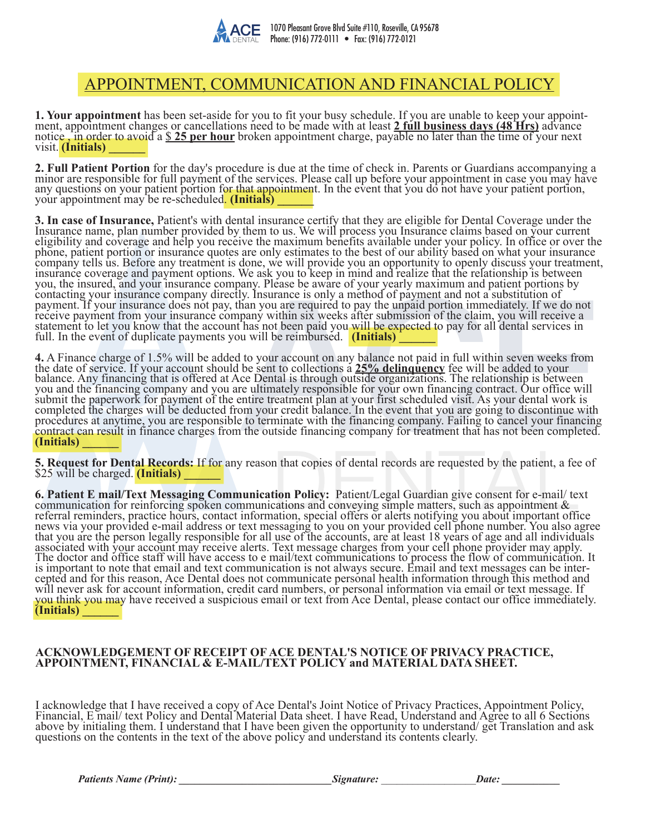

# APPOINTMENT, COMMUNICATION AND FINANCIAL POLICY

1. Your appointment has been set-aside for you to fit your busy schedule. If you are unable to keep your appointment, appointment changes or cancellations need to be made with at least 2 full business days (48 Hrs) advance notice , in order to avoid a <u>\$25 per hour</u> broken appointment charge, payable no later than the time of your next visit. **(Initials)** 

2. Full Patient Portion for the day's procedure is due at the time of check in. Parents or Guardians accompanying a<br>minor are responsible for full payment of the services. Please call up before your appointment in case you any questions on your patient portion for that appointment. In the event that you do not have your patient portion, your appointment may be re-scheduled. **(Initials) \_\_\_\_\_\_**

3. In case of Insurance, Patient's with dental insurance certify that they are eligible for Dental Coverage under the Insurance name, plan number provided by them to us. We will process you Insurance claims based on your c eligibility and coverage and help you receive the maximum benefits available under your policy. In office or over the phone, patient portion or insurance quotes are only estimates to the best of our ability based on what your insurance company tells us. Before any treatment is done, we will provide you an opportunity to openly discuss your treatment, insurance coverage and payment options. We ask you to keep in mind and realize that the relationship is between you, the insured, and your insurance company. Please be aware of your yearly maximum and patient portions by contacting your insurance company directly. Insurance is only a method of payment and not a substitution of payment. If your insurance does not pay, than you are required to pay the unpaid portion immediately. If we do not receive payment from your insurance company within six weeks after submission of the claim, you will receive a statement to let you know that the account has not been paid you will be expected to pay for all dental services in full. In the event of duplicate payments you will be reimbursed. **(Initials) \_\_\_\_\_\_**

**4.** A Finance charge of 1.5% will be added to your account on any balance not paid in full within seven weeks from the date of service. If your account should be sent to collections a 25% delinquency fee will be added to your<br>balance. Any financing that is offered at Ace Dental is through outside organizations. The relationship is betw you and the financing company and you are ultimately responsible for your own financing contract. Our office will submit the paperwork for payment of the entire treatment plan at your first scheduled visit. As your dental work is completed the charges will be deducted from your credit balance. In the event that you are going to discontinue with procedures at anytime, you are responsible to terminate with the financing company. Failing to cancel your financing contract can result in finance charges from the outside financing company for treatment that has not been completed. **(Initials) \_\_\_\_\_\_** 

**5. Request for Dental Records:** If for any reason that copies of dental records are requested by the patient, a fee of \$25 will be charged. **(Initials)** 

**6. Patient E mail/Text Messaging Communication Policy:** Patient/Legal Guardian give consent for e-mail/ text communication for reinforcing spoken communications and conveying simple matters, such as appointment & referral reminders, practice hours, contact information, special offers or alerts notifying you about important office news via your provided e-mail address or text messaging to you on your provided cell phone number. You also agree that you are the person legally responsible for all use of the accounts, are at least 18 years of age and all individuals associated with your account may receive alerts. Text message charges from your cell phone provider may apply. The doctor and office staff will have access to e mail/text communications to process the flow of communication. It is important to note that email and text communication is not always secure. Email and text messages can be inter-<br>cepted and for this reason, Ace Dental does not communicate personal health information through this method will never ask for account information, credit card numbers, or personal information via email or text message. If you think you may have received a suspicious email or text from Ace Dental, please contact our office immediately. **(Initials) \_\_\_\_\_\_**

## **ACKNOWLEDGEMENT OF RECEIPT OF ACE DENTAL'S NOTICE OF PRIVACY PRACTICE, APPOINTMENT, FINANCIAL & E-MAIL/TEXT POLICY and MATERIAL DATA SHEET.**

I acknowledge that I have received a copy of Ace Dental's Joint Notice of Privacy Practices, Appointment Policy, Financial, E mail/ text Policy and Dental Material Data sheet. I have Read, Understand and Agree to all 6 Sections above by initialing them. I understand that I have been given the opportunity to understand/ get Translation and ask questions on the contents in the text of the above policy and understand its contents clearly.

*Patients Name (Print): \_\_\_\_\_\_\_\_\_\_\_\_\_\_\_\_\_\_\_\_\_\_\_\_\_\_\_\_\_Signature:* \_\_\_\_\_\_\_\_\_\_\_\_\_\_\_\_\_\_*Date: \_\_\_\_\_\_\_\_\_\_\_*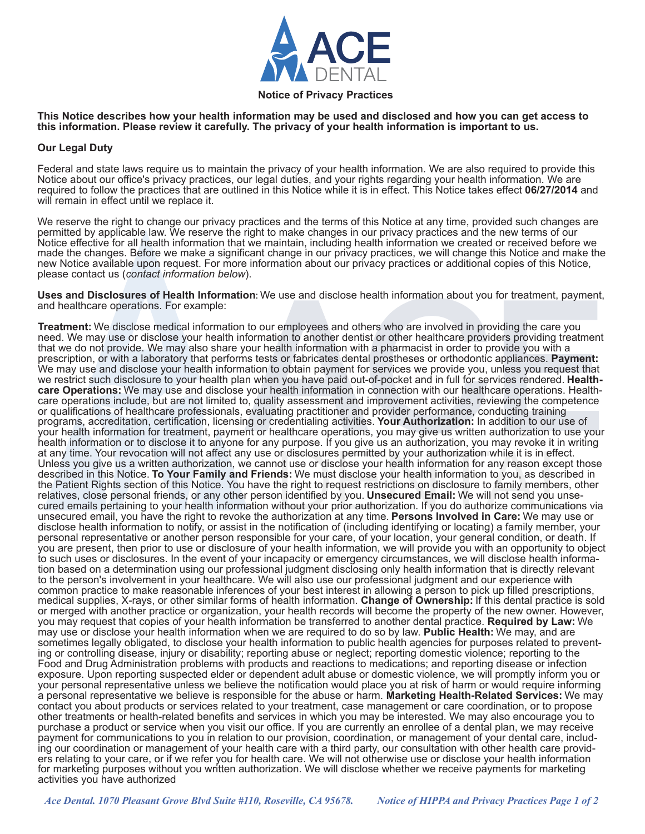

#### **Notice of Privacy Practices**

**This Notice describes how your health information may be used and disclosed and how you can get access to this information. Please review it carefully. The privacy of your health information is important to us.**

#### **Our Legal Duty**

Federal and state laws require us to maintain the privacy of your health information. We are also required to provide this Notice about our office's privacy practices, our legal duties, and your rights regarding your health information. We are required to follow the practices that are outlined in this Notice while it is in effect. This Notice takes effect **06/27/2014** and will remain in effect until we replace it.

We reserve the right to change our privacy practices and the terms of this Notice at any time, provided such changes are permitted by applicable law. We reserve the right to make changes in our privacy practices and the new terms of our Notice effective for all health information that we maintain, including health information we created or received before we made the changes. Before we make a significant change in our privacy practices, we will change this Notice and make the new Notice available upon request. For more information about our privacy practices or additional copies of this Notice, please contact us (*contact information below*).

**Uses and Disclosures of Health Information**: We use and disclose health information about you for treatment, payment, and healthcare operations. For example:

**Treatment:** We disclose medical information to our employees and others who are involved in providing the care you need. We may use or disclose your health information to another dentist or other healthcare providers providing treatment that we do not provide. We may also share your health information with a pharmacist in order to provide you with a prescription, or with a laboratory that performs tests or fabricates dental prostheses or orthodontic appliances. **Payment:** We may use and disclose your health information to obtain payment for services we provide you, unless you request that we restrict such disclosure to your health plan when you have paid out-of-pocket and in full for servic care Operations: We may use and disclose your health information in connection with our healthcare operations. Health-<br>care operations include, but are not limited to, quality assessment and improvement activities, reviewi or qualifications of healthcare professionals, evaluating practitioner and provider performance, conducting training programs, accreditation, certification, licensing or credentialing activities. **Your Authorization:** In addition to our use of your health information for treatment, payment or healthcare operations, you may give us written authorization to use your health information or to disclose it to anyone for any purpose. If you give us an authorization, you may revoke it in writing at any time. Your revocation will not affect any use or disclosures permitted by your authorization while it is in effect. Unless you give us a written authorization, we cannot use or disclose your health information for any reason except those described in this Notice. **To Your Family and Friends:** We must disclose your health information to you, as described in the Patient Rights section of this Notice. You have the right to request restrictions on disclosure to family members, other relatives, close personal friends, or any other person identified by you. **Unsecured Email:** We will not send you unsecured emails pertaining to your health information without your prior authorization. If you do authorize communications via unsecured email, you have the right to revoke the authorization at any time. **Persons Involved in Care:** We may use or disclose health information to notify, or assist in the notification of (including identifying or locating) a family member, your personal representative or another person responsible for your care, of your location, your general condition, or death. If you are present, then prior to use or disclosure of your health information, we will provide you with an opportunity to object to such uses or disclosures. In the event of your incapacity or emergency circumstances, we will disclose health information based on a determination using our professional judgment disclosing only health information that is directly relevant to the person's involvement in your healthcare. We will also use our professional judgment and our experience with common practice to make reasonable inferences of your best interest in allowing a person to pick up filled prescriptions, medical supplies, X-rays, or other similar forms of health information. **Change of Ownership:** If this dental practice is sold or merged with another practice or organization, your health records will become the property of the new owner. However, you may request that copies of your health information be transferred to another dental practice. **Required by Law:** We may use or disclose your health information when we are required to do so by law. **Public Health:** We may, and are sometimes legally obligated, to disclose your health information to public health agencies for purposes related to preventing or controlling disease, injury or disability; reporting abuse or neglect; reporting domestic violence; reporting to the Food and Drug Administration problems with products and reactions to medications; and reporting disease or infection exposure. Upon reporting suspected elder or dependent adult abuse or domestic violence, we will promptly inform you or your personal representative unless we believe the notification would place you at risk of harm or would require informing a personal representative we believe is responsible for the abuse or harm. **Marketing Health-Related Services:** We may contact you about products or services related to your treatment, case management or care coordination, or to propose other treatments or health-related benefits and services in which you may be interested. We may also encourage you to purchase a product or service when you visit our office. If you are currently an enrollee of a dental plan, we may receive<br>payment for communications to you in relation to our provision, coordination, or management of your ing our coordination or management of your health care with a third party, our consultation with other health care providers relating to your care, or if we refer you for health care. We will not otherwise use or disclose your health information for marketing purposes without you written authorization. We will disclose whether we receive payments for marketing activities you have authorized